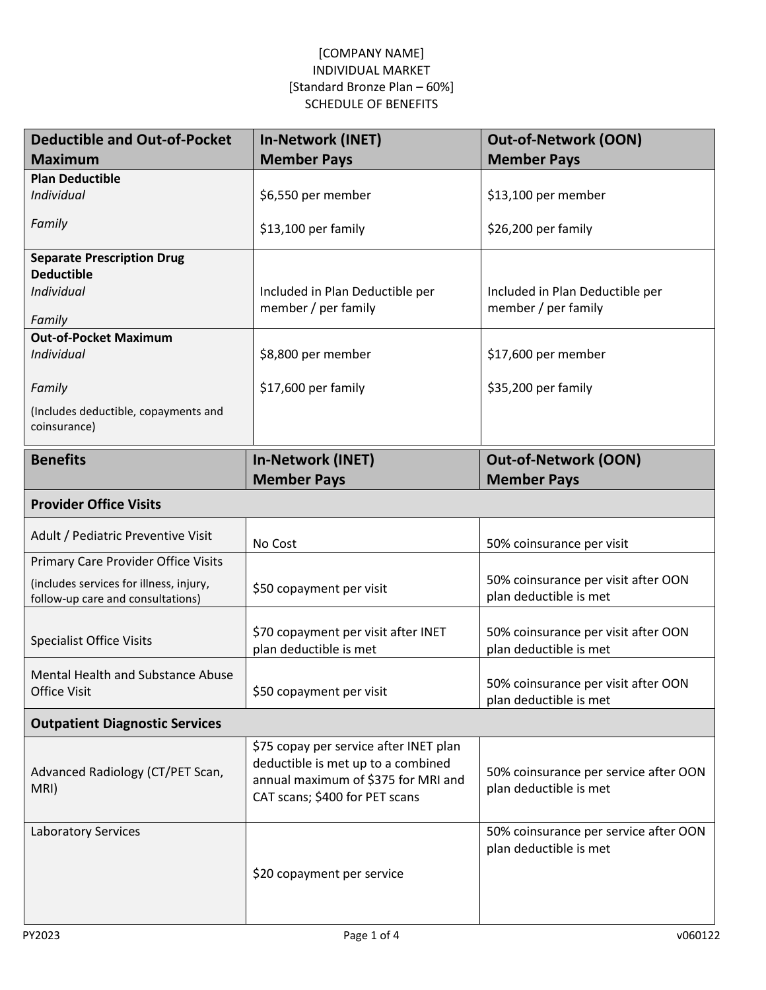| <b>Deductible and Out-of-Pocket</b>                                          | <b>In-Network (INET)</b>                               | <b>Out-of-Network (OON)</b>                                   |
|------------------------------------------------------------------------------|--------------------------------------------------------|---------------------------------------------------------------|
| <b>Maximum</b>                                                               | <b>Member Pays</b>                                     | <b>Member Pays</b>                                            |
| <b>Plan Deductible</b>                                                       |                                                        |                                                               |
| Individual                                                                   | \$6,550 per member                                     | \$13,100 per member                                           |
| Family                                                                       | \$13,100 per family                                    | \$26,200 per family                                           |
| <b>Separate Prescription Drug</b>                                            |                                                        |                                                               |
| <b>Deductible</b>                                                            |                                                        |                                                               |
| Individual                                                                   | Included in Plan Deductible per<br>member / per family | Included in Plan Deductible per<br>member / per family        |
| Family                                                                       |                                                        |                                                               |
| <b>Out-of-Pocket Maximum</b>                                                 |                                                        |                                                               |
| Individual                                                                   | \$8,800 per member                                     | \$17,600 per member                                           |
| Family                                                                       | \$17,600 per family                                    | \$35,200 per family                                           |
| (Includes deductible, copayments and                                         |                                                        |                                                               |
| coinsurance)                                                                 |                                                        |                                                               |
| <b>Benefits</b>                                                              | <b>In-Network (INET)</b>                               | <b>Out-of-Network (OON)</b>                                   |
|                                                                              | <b>Member Pays</b>                                     | <b>Member Pays</b>                                            |
| <b>Provider Office Visits</b>                                                |                                                        |                                                               |
| Adult / Pediatric Preventive Visit                                           | No Cost                                                | 50% coinsurance per visit                                     |
| Primary Care Provider Office Visits                                          |                                                        |                                                               |
| (includes services for illness, injury,<br>follow-up care and consultations) | \$50 copayment per visit                               | 50% coinsurance per visit after OON<br>plan deductible is met |
|                                                                              |                                                        |                                                               |
| <b>Specialist Office Visits</b>                                              | \$70 copayment per visit after INET                    | 50% coinsurance per visit after OON                           |
|                                                                              | plan deductible is met                                 | plan deductible is met                                        |
| <b>Mental Health and Substance Abuse</b>                                     |                                                        |                                                               |
| <b>Office Visit</b>                                                          | \$50 copayment per visit                               | 50% coinsurance per visit after OON<br>plan deductible is met |
| <b>Outpatient Diagnostic Services</b>                                        |                                                        |                                                               |
|                                                                              | \$75 copay per service after INET plan                 |                                                               |
| Advanced Radiology (CT/PET Scan,                                             | deductible is met up to a combined                     | 50% coinsurance per service after OON                         |
| MRI)                                                                         | annual maximum of \$375 for MRI and                    | plan deductible is met                                        |
|                                                                              | CAT scans; \$400 for PET scans                         |                                                               |
| <b>Laboratory Services</b>                                                   |                                                        | 50% coinsurance per service after OON                         |
|                                                                              |                                                        | plan deductible is met                                        |
|                                                                              | \$20 copayment per service                             |                                                               |
|                                                                              |                                                        |                                                               |
|                                                                              |                                                        |                                                               |
|                                                                              |                                                        |                                                               |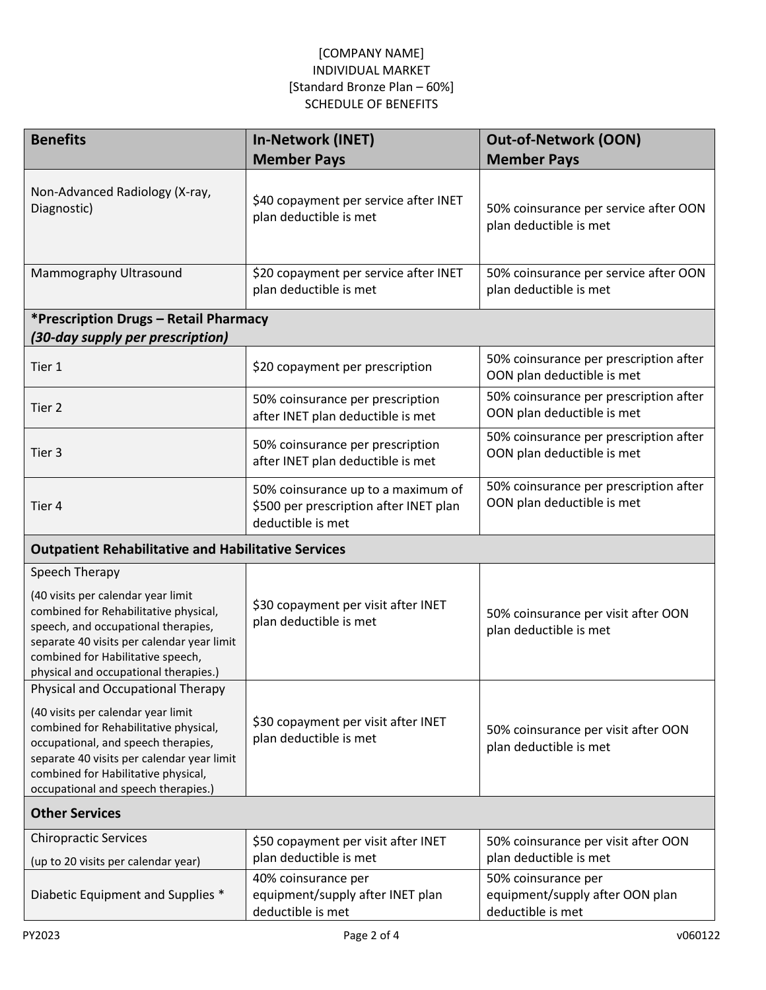| <b>Benefits</b>                                                                                                                                                                                                                                                                     | <b>In-Network (INET)</b>                                                                          | <b>Out-of-Network (OON)</b>                                                 |
|-------------------------------------------------------------------------------------------------------------------------------------------------------------------------------------------------------------------------------------------------------------------------------------|---------------------------------------------------------------------------------------------------|-----------------------------------------------------------------------------|
|                                                                                                                                                                                                                                                                                     | <b>Member Pays</b>                                                                                | <b>Member Pays</b>                                                          |
| Non-Advanced Radiology (X-ray,<br>Diagnostic)                                                                                                                                                                                                                                       | \$40 copayment per service after INET<br>plan deductible is met                                   | 50% coinsurance per service after OON<br>plan deductible is met             |
| Mammography Ultrasound                                                                                                                                                                                                                                                              | \$20 copayment per service after INET<br>plan deductible is met                                   | 50% coinsurance per service after OON<br>plan deductible is met             |
| *Prescription Drugs - Retail Pharmacy<br>(30-day supply per prescription)                                                                                                                                                                                                           |                                                                                                   |                                                                             |
| Tier 1                                                                                                                                                                                                                                                                              | \$20 copayment per prescription                                                                   | 50% coinsurance per prescription after<br>OON plan deductible is met        |
| Tier 2                                                                                                                                                                                                                                                                              | 50% coinsurance per prescription<br>after INET plan deductible is met                             | 50% coinsurance per prescription after<br>OON plan deductible is met        |
| Tier 3                                                                                                                                                                                                                                                                              | 50% coinsurance per prescription<br>after INET plan deductible is met                             | 50% coinsurance per prescription after<br>OON plan deductible is met        |
| Tier 4                                                                                                                                                                                                                                                                              | 50% coinsurance up to a maximum of<br>\$500 per prescription after INET plan<br>deductible is met | 50% coinsurance per prescription after<br>OON plan deductible is met        |
| <b>Outpatient Rehabilitative and Habilitative Services</b>                                                                                                                                                                                                                          |                                                                                                   |                                                                             |
| Speech Therapy                                                                                                                                                                                                                                                                      |                                                                                                   |                                                                             |
| (40 visits per calendar year limit<br>combined for Rehabilitative physical,<br>speech, and occupational therapies,<br>separate 40 visits per calendar year limit<br>combined for Habilitative speech,<br>physical and occupational therapies.)                                      | \$30 copayment per visit after INET<br>plan deductible is met                                     | 50% coinsurance per visit after OON<br>plan deductible is met               |
| Physical and Occupational Therapy<br>(40 visits per calendar year limit<br>combined for Rehabilitative physical,<br>occupational, and speech therapies,<br>separate 40 visits per calendar year limit<br>combined for Habilitative physical,<br>occupational and speech therapies.) | \$30 copayment per visit after INET<br>plan deductible is met                                     | 50% coinsurance per visit after OON<br>plan deductible is met               |
| <b>Other Services</b>                                                                                                                                                                                                                                                               |                                                                                                   |                                                                             |
| <b>Chiropractic Services</b><br>(up to 20 visits per calendar year)                                                                                                                                                                                                                 | \$50 copayment per visit after INET<br>plan deductible is met                                     | 50% coinsurance per visit after OON<br>plan deductible is met               |
| Diabetic Equipment and Supplies *                                                                                                                                                                                                                                                   | 40% coinsurance per<br>equipment/supply after INET plan<br>deductible is met                      | 50% coinsurance per<br>equipment/supply after OON plan<br>deductible is met |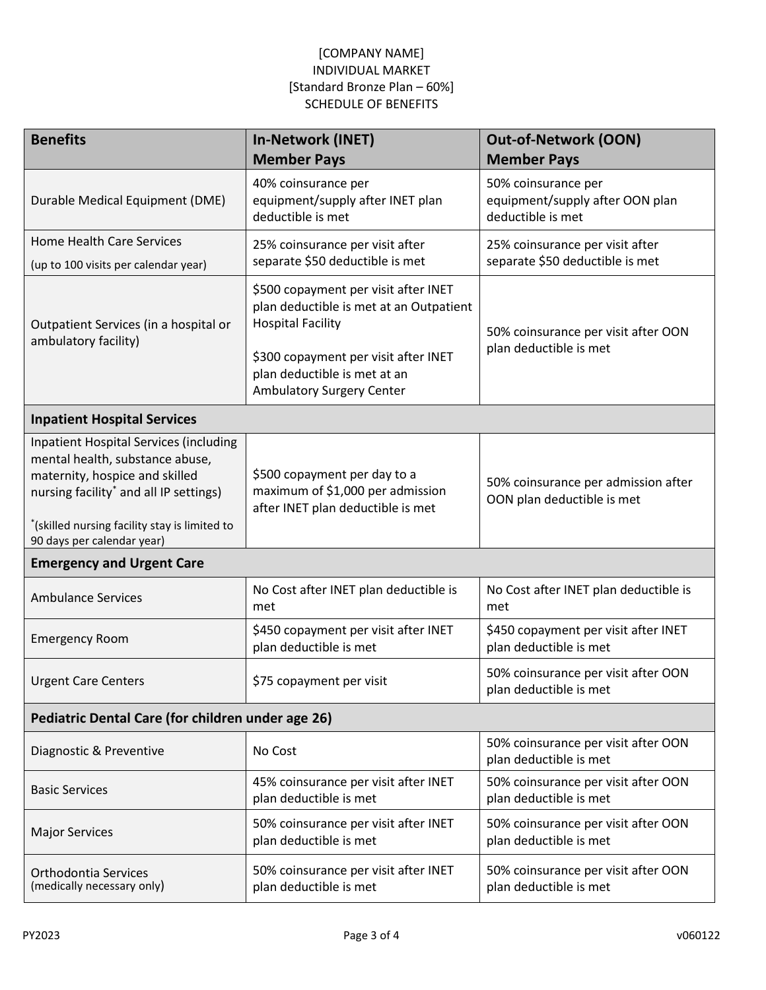| <b>Benefits</b>                                                                                                                                                                                                                             | <b>In-Network (INET)</b><br><b>Member Pays</b>                                                                                                                                                                          | <b>Out-of-Network (OON)</b><br><b>Member Pays</b>                           |  |  |
|---------------------------------------------------------------------------------------------------------------------------------------------------------------------------------------------------------------------------------------------|-------------------------------------------------------------------------------------------------------------------------------------------------------------------------------------------------------------------------|-----------------------------------------------------------------------------|--|--|
| Durable Medical Equipment (DME)                                                                                                                                                                                                             | 40% coinsurance per<br>equipment/supply after INET plan<br>deductible is met                                                                                                                                            | 50% coinsurance per<br>equipment/supply after OON plan<br>deductible is met |  |  |
| <b>Home Health Care Services</b><br>(up to 100 visits per calendar year)                                                                                                                                                                    | 25% coinsurance per visit after<br>separate \$50 deductible is met                                                                                                                                                      | 25% coinsurance per visit after<br>separate \$50 deductible is met          |  |  |
| Outpatient Services (in a hospital or<br>ambulatory facility)                                                                                                                                                                               | \$500 copayment per visit after INET<br>plan deductible is met at an Outpatient<br><b>Hospital Facility</b><br>\$300 copayment per visit after INET<br>plan deductible is met at an<br><b>Ambulatory Surgery Center</b> | 50% coinsurance per visit after OON<br>plan deductible is met               |  |  |
| <b>Inpatient Hospital Services</b>                                                                                                                                                                                                          |                                                                                                                                                                                                                         |                                                                             |  |  |
| <b>Inpatient Hospital Services (including</b><br>mental health, substance abuse,<br>maternity, hospice and skilled<br>nursing facility* and all IP settings)<br>*(skilled nursing facility stay is limited to<br>90 days per calendar year) | \$500 copayment per day to a<br>maximum of \$1,000 per admission<br>after INET plan deductible is met                                                                                                                   | 50% coinsurance per admission after<br>OON plan deductible is met           |  |  |
| <b>Emergency and Urgent Care</b>                                                                                                                                                                                                            |                                                                                                                                                                                                                         |                                                                             |  |  |
| <b>Ambulance Services</b>                                                                                                                                                                                                                   | No Cost after INET plan deductible is<br>met                                                                                                                                                                            | No Cost after INET plan deductible is<br>met                                |  |  |
| <b>Emergency Room</b>                                                                                                                                                                                                                       | \$450 copayment per visit after INET<br>plan deductible is met                                                                                                                                                          | \$450 copayment per visit after INET<br>plan deductible is met              |  |  |
| <b>Urgent Care Centers</b>                                                                                                                                                                                                                  | \$75 copayment per visit                                                                                                                                                                                                | 50% coinsurance per visit after OON<br>plan deductible is met               |  |  |
| Pediatric Dental Care (for children under age 26)                                                                                                                                                                                           |                                                                                                                                                                                                                         |                                                                             |  |  |
| Diagnostic & Preventive                                                                                                                                                                                                                     | No Cost                                                                                                                                                                                                                 | 50% coinsurance per visit after OON<br>plan deductible is met               |  |  |
| <b>Basic Services</b>                                                                                                                                                                                                                       | 45% coinsurance per visit after INET<br>plan deductible is met                                                                                                                                                          | 50% coinsurance per visit after OON<br>plan deductible is met               |  |  |
| <b>Major Services</b>                                                                                                                                                                                                                       | 50% coinsurance per visit after INET<br>plan deductible is met                                                                                                                                                          | 50% coinsurance per visit after OON<br>plan deductible is met               |  |  |
| Orthodontia Services<br>(medically necessary only)                                                                                                                                                                                          | 50% coinsurance per visit after INET<br>plan deductible is met                                                                                                                                                          | 50% coinsurance per visit after OON<br>plan deductible is met               |  |  |